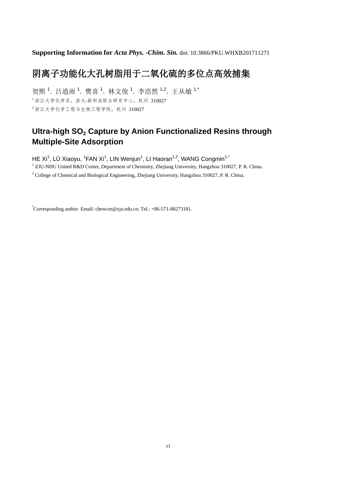**Supporting Information for** *Acta Phys. -Chim. Sin.* doi: 10.3866/PKU.WHXB201711271

## 阴离子功能化大孔树脂用于二氧化硫的多位点高效捕集

贺熙<sup>1</sup>,吕逍雨<sup>1</sup>,樊喜<sup>1</sup>,林文俊<sup>1</sup>,李浩然<sup>1,2</sup>,王从敏<sup>1,\*</sup> <sup>1</sup>浙江大学化学系,浙大-新和成联合研发中心,杭州 310027 <sup>2</sup>浙江大学化学工程与生物工程学院,杭州 310027

## **Ultra-high SO<sup>2</sup> Capture by Anion Functionalized Resins through Multiple-Site Adsorption**

HE Xi<sup>1</sup>, LÜ Xiaoyu, <sup>1</sup>FAN Xi<sup>1</sup>, LIN Wenjun<sup>1</sup>, LI Haoran<sup>1,2</sup>, WANG Congmin<sup>1,\*</sup>

<sup>1</sup> ZJU-NHU United R&D Center, Department of Chemistry, Zhejiang University, Hangzhou 310027, P. R. China.

<sup>2</sup> College of Chemical and Biological Engineering, Zhejiang University, Hangzhou 310027, P. R. China.

\*Corresponding author. Email: chewcm@zju.edu.cn; Tel.: +86-571-88273181.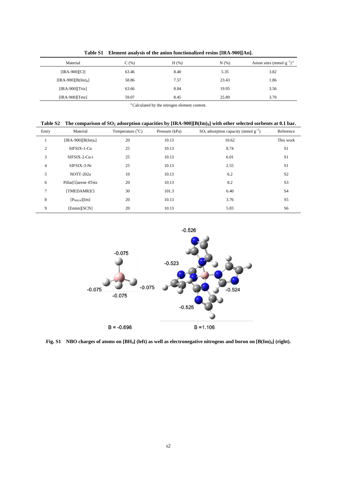| Material            | C(%)  | $H$ (%) | N(% ) | Anion sites (mmol $g^{-1}$ ) <sup>a</sup> |
|---------------------|-------|---------|-------|-------------------------------------------|
| [IRA-900][Cl]       | 63.46 | 8.40    | 5.35  | 3.82                                      |
| $[IRA-900][B(Im)4]$ | 58.86 | 7.57    | 23.43 | 1.86                                      |
| $[IRA-900][Triz]$   | 63.66 | 8.84    | 19.95 | 3.56                                      |
| $[IRA-900][Tetz]$   | 59.07 | 8.45    | 25.89 | 3.70                                      |

**Table S1 Element analysis of the anion functionalized resins [IRA-900][An].**

<sup>a</sup> Calculated by the nitrogen element content.

|  |  |  | Table S2 The comparison of $SO_2$ adsorption capacities by [IRA-900][B(Im) <sub>4</sub> ] with other selected sorbents at 0.1 bar. |  |
|--|--|--|------------------------------------------------------------------------------------------------------------------------------------|--|
|--|--|--|------------------------------------------------------------------------------------------------------------------------------------|--|

| Entry          | Material             | Temperature $(^{\circ}C)$ | Pressure (kPa) | $SO_2$ adsorption capacity (mmol $g^{-1}$ ) | Reference      |
|----------------|----------------------|---------------------------|----------------|---------------------------------------------|----------------|
| -1             | $[IRA-900][B(Im)4]$  | 20                        | 10.13          | 10.62                                       | This work      |
| 2              | SIFSIX-1-Cu          | 25                        | 10.13          | 8.74                                        | S <sub>1</sub> |
| 3              | SIFSIX-2-Cu-i        | 25                        | 10.13          | 6.01                                        | S <sub>1</sub> |
| $\overline{4}$ | SIFSIX-3-Ni          | 25                        | 10.13          | 2.55                                        | S1             |
| 5              | NOTT-202a            | 10                        | 10.13          | 6.2                                         | S <sub>2</sub> |
| 6              | Pillar[5]arene 4Tetz | 20                        | 10.13          | 8.2                                         | S <sub>3</sub> |
| $\tau$         | [TMEDAMR]Cl          | 30                        | 101.3          | 6.40                                        | S <sub>4</sub> |
| 8              | $[P_{66614}][Im]$    | 20                        | 10.13          | 3.76                                        | S5             |
| 9              | [Emim][SCN]          | 20                        | 10.13          | 5.83                                        | S6             |
|                |                      |                           |                |                                             |                |



**Fig. S1 NBO charges of atoms on [BH4] (left) as well as electronegative nitrogens and boron on [B(Im)4] (right).**